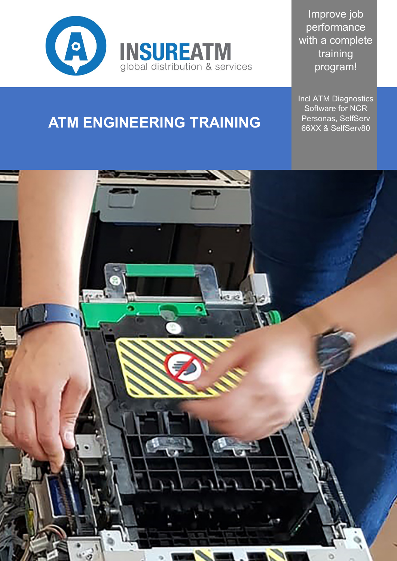

Improve job performance with a complete training program!

Incl ATM Diagnostics Software for NCR Personas, SelfServ 66XX & SelfServ80

# **ATM ENGINEERING TRAINING**